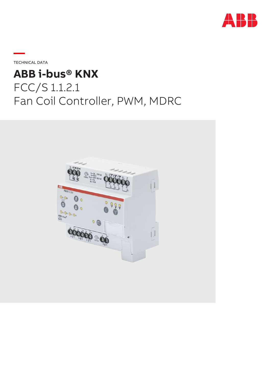

**—**TECHNICAL DATA

# **ABB i-bus® KNX** FCC/S 1.1.2.1 Fan Coil Controller, PWM, MDRC

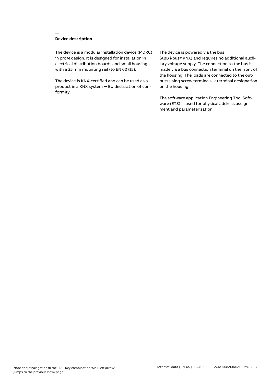# **Device description**

**—**

The device is a modular installation device (MDRC) in proM design. It is designed for installation in electrical distribution boards and small housings with a 35 mm mounting rail (to EN 60715).

The device is KNX-certified and can be used as a product in a KNX system → EU declaration of conformity.

## The device is powered via the bus

(ABB i-bus® KNX) and requires no additional auxiliary voltage supply. The connection to the bus is made via a bus connection terminal on the front of the housing. The loads are connected to the outputs using screw terminals → terminal designation on the housing.

The software application Engineering Tool Software (ETS) is used for physical address assignment and parameterization.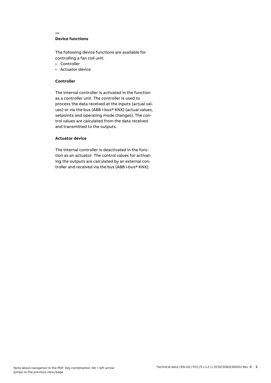# **Device functions**

**—**

The following device functions are available for controlling a fan coil unit:

- Controller
- Actuator device

## **Controller**

The internal controller is activated in the function as a controller unit. The controller is used to process the data received at the inputs (actual values) or via the bus (ABB i-bus® KNX) (actual values, setpoints and operating mode changes). The control values are calculated from the data received and transmitted to the outputs.

# **Actuator device**

The internal controller is deactivated in the function as an actuator. The control values for activating the outputs are calculated by an external controller and received via the bus (ABB i-bus® KNX).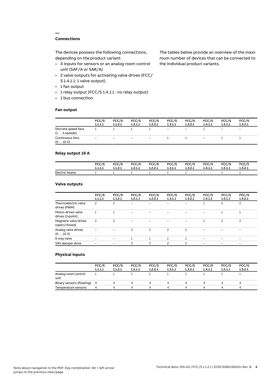# **Connections**

**—**

The devices possess the following connections, depending on the product variant:

- 4 inputs for sensors or an analog room control unit (SAF/A or SAR/A)
- 2 valve outputs for activating valve drives (FCC/ S 1.4.1.1: 1 valve output)
- 1 fan output
- 1 relay output (FCC/S 1.4.1.1 : no relay output)
- 1 bus connection

## **Fan output**

The tables below provide an overview of the maximum number of devices that can be connected to the individual product variants.

|                                               | FCC/S<br>1.1.1.1 | FCC/S<br>1.1.2.1 | FCC/S<br>1.2.1.1         | FCC/S<br>1.2.2.1         | FCC/S<br>1.3.1.1         | FCC/S<br>1.3.2.1 | FCC/S<br>1.4.1.1         | FCC/S<br>1.5.1.1             | FCC/S<br>1.5.2.1         |
|-----------------------------------------------|------------------|------------------|--------------------------|--------------------------|--------------------------|------------------|--------------------------|------------------------------|--------------------------|
| Discrete speed fans<br>$(1 \ldots 3$ -speeds) |                  |                  |                          |                          | $\overline{\phantom{a}}$ | Ξ.               |                          | $\qquad \qquad \blacksquare$ | $\overline{\phantom{0}}$ |
| Continuous fans<br>(010V)                     | -                | -                | $\overline{\phantom{0}}$ | $\overline{\phantom{0}}$ |                          |                  | $\overline{\phantom{0}}$ |                              |                          |

## **Relay output 16 A**

|                 | FCC/S   | FCC/S   | FCC/S   | <b>FCC/S</b> | FCC/S   | <b>FCC/S</b> | FCC/S   | FCC/S   | FCC/S   |
|-----------------|---------|---------|---------|--------------|---------|--------------|---------|---------|---------|
|                 | 1.1.1.1 | 1.1.2.1 | 1.2.1.1 | 1.2.2.1      | 1.3.1.1 | 1.3.2.1      | 1.4.1.1 | 1.5.1.1 | 1.5.2.1 |
| Electric heater |         |         |         |              |         |              | $-$     |         |         |

## **Valve outputs**

|                                        | FCC/S<br>1.1.1.1 | FCC/S<br>1.1.2.1         | FCC/S<br>1.2.1.1         | FCC/S<br>1.2.2.1 | FCC/S<br>1.3.1.1         | FCC/S<br>1.3.2.1 | FCC/S<br>1.4.1.1 | FCC/S<br>1.5.1.1 | FCC/S<br>1.5.2.1 |  |
|----------------------------------------|------------------|--------------------------|--------------------------|------------------|--------------------------|------------------|------------------|------------------|------------------|--|
| Thermoelectric valve<br>drives (PWM)   | 2                | 2                        | $\overline{\phantom{0}}$ |                  |                          |                  |                  | 2                | $\overline{c}$   |  |
| Motor-driven valve<br>drives (3-point) |                  |                          |                          |                  |                          |                  |                  |                  |                  |  |
| Magnetic valve drives<br>(open/closed) | $\overline{c}$   | $\overline{\phantom{0}}$ |                          |                  |                          |                  |                  | 2                | $\overline{c}$   |  |
| Analog valve drives<br>(010V)          |                  |                          | 2                        | 2                | $\overline{\phantom{0}}$ | 2                |                  |                  |                  |  |
| 6-way valve                            |                  |                          |                          |                  |                          |                  |                  |                  |                  |  |
| VAV damper drive                       |                  |                          | 2                        | $\mathcal{P}$    | $\overline{\phantom{0}}$ | 2                |                  |                  |                  |  |
|                                        |                  |                          |                          |                  |                          |                  |                  |                  |                  |  |

## **Physical inputs**

|                             | FCC/S<br>1.1.1.1 | FCC/S<br>1.1.2.1 | FCC/S<br>1.2.1.1 | FCC/S<br>1.2.2.1 | FCC/S<br>1.3.1.1 | FCC/S<br>1.3.2.1 | FCC/S<br>1.4.1.1 | FCC/S<br>1.5.1.1 | FCC/S<br>1.5.2.1 |  |
|-----------------------------|------------------|------------------|------------------|------------------|------------------|------------------|------------------|------------------|------------------|--|
| Analog room control<br>unit |                  |                  |                  |                  |                  |                  |                  |                  |                  |  |
| Binary sensors (floating) 4 |                  |                  | 4                | 4                | 4                | 4                |                  | Δ.               | 4                |  |
| Temperature sensors         | 4                |                  | Δ                | Δ                | ▵                | Δ.               |                  | Δ                | $\mu$            |  |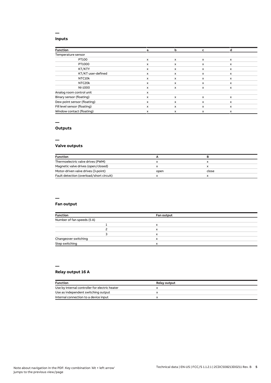## **Inputs**

**—**

| <b>Function</b>              | а | b | c                         | а            |  |
|------------------------------|---|---|---------------------------|--------------|--|
| Temperature sensor           |   |   |                           |              |  |
| PT100                        | x | x | $\boldsymbol{\mathsf{x}}$ | $\mathsf{x}$ |  |
| PT1000                       | x | X | x                         | x            |  |
| KT/KTY                       | x | x | X                         | x            |  |
| KT/KT user-defined           | x | x | X                         | x            |  |
| NTC10k                       | x | x | x                         | x            |  |
| NTC20k                       | x | x | x                         | x            |  |
| NI-1000                      | x | x | x                         | $\mathsf{x}$ |  |
| Analog room control unit     | x |   |                           |              |  |
| Binary sensor (floating)     | x | X | x                         | $\mathsf{x}$ |  |
| Dew point sensor (floating)  | x | x | x                         | x            |  |
| Fill level sensor (floating) | x | X | x                         | $\mathsf{x}$ |  |
| Window contact (floating)    | x | x | X                         | x            |  |

## **—**

# **Outputs**

**—**

# **Valve outputs**

| <b>Function</b>                          |      |       |  |
|------------------------------------------|------|-------|--|
| Thermoelectric valve drives (PWM)        |      |       |  |
| Magnetic valve drives (open/closed)      |      |       |  |
| Motor-driven valve drives (3-point)      | open | close |  |
| Fault detection (overload/short circuit) |      |       |  |

#### **—**

## **Fan output**

| <b>Function</b>            | Fan output |  |
|----------------------------|------------|--|
| Number of fan speeds (5 A) |            |  |
|                            | л          |  |
|                            | x          |  |
|                            | x          |  |
| Changeover switching       | x          |  |
| Step switching             | v          |  |

#### **—**

# **Relay output 16 A**

| <b>Function</b>                                | <b>Relay output</b> |
|------------------------------------------------|---------------------|
| Use by internal controller for electric heater |                     |
| Use as independent switching output            |                     |
| Internal connection to a device input          |                     |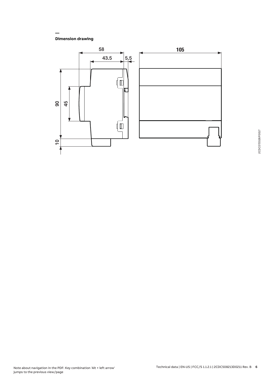**Dimension drawing**

**—**

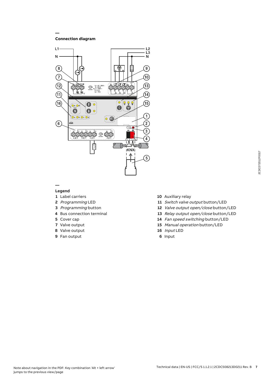**Connection diagram**

**—**



## **— Legend**

- Label carriers
- Programming LED
- Programming button
- Bus connection terminal
- Cover cap
- Valve output
- Valve output
- Fan output
- Auxiliary relay
- 11 Switch valve output button/LED
- Valve output open/close button/LED
- Relay output open/close button/LED
- Fan speed switching button/LED
- Manual operation button/LED
- Input LED
- Input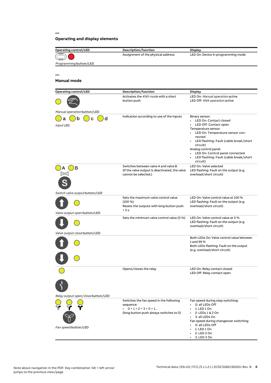# **Operating and display elements**

**—**

| <b>Operating control/LED</b>       | Description/function                                                   | <b>Display</b>                                                           |
|------------------------------------|------------------------------------------------------------------------|--------------------------------------------------------------------------|
|                                    | Assignment of the physical address                                     | LED On: Device in programming mode                                       |
| Programming button/LED             |                                                                        |                                                                          |
|                                    |                                                                        |                                                                          |
|                                    |                                                                        |                                                                          |
| <b>Manual mode</b>                 |                                                                        |                                                                          |
| <b>Operating control/LED</b>       | Description/function                                                   | <b>Display</b>                                                           |
|                                    | Activates the KNX mode with a short                                    | LED On: Manual operation active                                          |
|                                    | button push                                                            | LED Off: KNX operation active                                            |
| Manual operation button/LED        |                                                                        |                                                                          |
| d<br>n<br>a                        | Indication according to use of the inputs                              | Binary sensor:<br>• LED On: Contact closed                               |
| Input LED                          |                                                                        | LED Off: Contact open                                                    |
|                                    |                                                                        | Temperature sensor:<br>LED On: Temperature sensor con-<br>$\bullet$      |
|                                    |                                                                        | nected                                                                   |
|                                    |                                                                        | LED flashing: Fault (cable break/short                                   |
|                                    |                                                                        | circuit)<br>Analog control panel:                                        |
|                                    |                                                                        | LED On: Control panel connected<br>$\bullet$                             |
|                                    |                                                                        | LED flashing: Fault (cable break/short<br>circuit)                       |
| в                                  | Switches between valve A and valve B.                                  | LED On: Valve selected                                                   |
|                                    | (If the valve output is deactivated, the valve<br>cannot be selected.) | LED flashing: Fault on the output (e.g.<br>overload/short circuit)       |
|                                    |                                                                        |                                                                          |
|                                    |                                                                        |                                                                          |
| Switch valve output button/LED     | Sets the maximum valve control value                                   | LED On: Valve control value at 100 %                                     |
|                                    | $(100\%)$<br>Resets the outputs with long button push                  | LED flashing: Fault on the output (e.g.<br>overload/short circuit)       |
| Valve output open button/LED       | > 5 s                                                                  |                                                                          |
|                                    | Sets the minimum valve control value (0 %)                             | LED On: Valve control value at 0 %                                       |
|                                    |                                                                        | LED flashing: Fault on the output (e.g.<br>overload/short circuit)       |
| Valve output close button/LED      |                                                                        |                                                                          |
|                                    |                                                                        | Both LEDs On: Valve control value between                                |
|                                    |                                                                        | 1 and 99 %                                                               |
|                                    |                                                                        | Both LEDs flashing: Fault on the output<br>(e.g. overload/short circuit) |
|                                    |                                                                        |                                                                          |
|                                    |                                                                        |                                                                          |
|                                    | Opens/closes the relay                                                 | LED On: Relay contact closed                                             |
|                                    |                                                                        | LED Off: Relay contact open                                              |
|                                    |                                                                        |                                                                          |
|                                    |                                                                        |                                                                          |
| Relay output open/close button/LED |                                                                        |                                                                          |
|                                    | Switches the fan speed in the following                                | Fan speed during step switching:<br>0: all LEDs Off                      |
|                                    | sequence:<br>$\cdot$ 0 > 1 > 2 > 3 > 0 > 1                             | 1: LED 1 On                                                              |
|                                    | (long button push always switches to 0)                                | 2: LEDs 1 & 2 On                                                         |
|                                    |                                                                        | 3: all LEDs On<br>Fan speed during changeover switching:                 |
| Fan speed button/LED               |                                                                        | 0: all LEDs Off                                                          |
|                                    |                                                                        | 1: LED 1 On<br>2: LED 2 On                                               |
|                                    |                                                                        | 3: LED 3 On                                                              |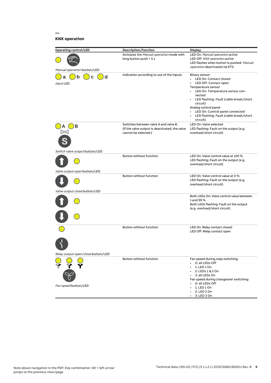# **KNX operation**

**—**

| <b>Operating control/LED</b>       | <b>Description/function</b>                                                                                     | <b>Display</b>                                                                                                                                                                                                                                                                                                                              |
|------------------------------------|-----------------------------------------------------------------------------------------------------------------|---------------------------------------------------------------------------------------------------------------------------------------------------------------------------------------------------------------------------------------------------------------------------------------------------------------------------------------------|
|                                    | Activates the Manual operation mode with<br>long button push > 5 s                                              | LED On: Manual operation active<br>LED Off: KNX operation active<br>LED flashes when button is pushed: Manual<br><i>operation</i> deactivated via ETS                                                                                                                                                                                       |
| Manual operation button/LED        |                                                                                                                 |                                                                                                                                                                                                                                                                                                                                             |
| d<br>b<br>C<br>а<br>Input LED      | Indication according to use of the inputs                                                                       | Binary sensor:<br>LED On: Contact closed<br>LED Off: Contact open<br>Temperature sensor:<br>LED On: Temperature sensor con-<br>$\bullet$<br>nected<br>• LED flashing: Fault (cable break/short<br>circuit)<br>Analog control panel:<br>LED On: Control panel connected<br>$\bullet$<br>• LED flashing: Fault (cable break/short<br>circuit) |
| в                                  | Switches between valve A and valve B.<br>(If the valve output is deactivated, the valve<br>cannot be selected.) | LED On: Valve selected<br>LED flashing: Fault on the output (e.g.<br>overload/short circuit)                                                                                                                                                                                                                                                |
| Switch valve output button/LED     | <b>Button without function</b>                                                                                  | LED On: Valve control value at 100 %<br>LED flashing: Fault on the output (e.g.<br>overload/short circuit)                                                                                                                                                                                                                                  |
| Valve output open button/LED       |                                                                                                                 |                                                                                                                                                                                                                                                                                                                                             |
|                                    | Button without function                                                                                         | LED On: Valve control value at 0 %<br>LED flashing: Fault on the output (e.g.<br>overload/short circuit)                                                                                                                                                                                                                                    |
| Valve output close button/LED      |                                                                                                                 |                                                                                                                                                                                                                                                                                                                                             |
|                                    |                                                                                                                 | Both LEDs On: Valve control value between<br>1 and 99 %<br>Both LEDs flashing: Fault on the output<br>(e.g. overload/short circuit)                                                                                                                                                                                                         |
|                                    | Button without function                                                                                         | LED On: Relay contact closed<br>LED Off: Relay contact open                                                                                                                                                                                                                                                                                 |
|                                    |                                                                                                                 |                                                                                                                                                                                                                                                                                                                                             |
| Relay output open/close button/LED |                                                                                                                 |                                                                                                                                                                                                                                                                                                                                             |
| Fan speed button/LED               | Button without function                                                                                         | Fan speed during step switching:<br>0: all LEDs Off<br>1: LED 1 On<br>2: LEDs 1 & 2 On<br>3: all LEDs On<br>Fan speed during changeover switching:<br>0: all LEDs Off<br>1: LED 1 On                                                                                                                                                        |
|                                    |                                                                                                                 | 2: LED 2 On<br>3: LED 3 On                                                                                                                                                                                                                                                                                                                  |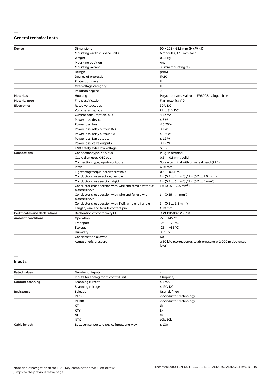## **— General technical data**

| <b>Device</b>                        | <b>Dimensions</b>                                                       | $90 \times 105 \times 63.5$ mm (H x W x D)                                |
|--------------------------------------|-------------------------------------------------------------------------|---------------------------------------------------------------------------|
|                                      | Mounting width in space units                                           | 6 modules, 17.5 mm each                                                   |
|                                      | Weight                                                                  | 0.24 kg                                                                   |
|                                      | Mounting position                                                       | Any                                                                       |
|                                      | Mounting variant                                                        | 35 mm mounting rail                                                       |
|                                      | Design                                                                  | proM                                                                      |
|                                      | Degree of protection                                                    | IP 20                                                                     |
|                                      | Protection class                                                        | Ш                                                                         |
|                                      | Overvoltage category                                                    | Ш                                                                         |
|                                      | Pollution degree                                                        | $\mathsf{S}$                                                              |
| <b>Materials</b>                     | Housing                                                                 | Polycarbonate, Makrolon FR6002, halogen free                              |
| <b>Material note</b>                 | Fire classification                                                     | Flammability V-0                                                          |
| <b>Electronics</b>                   | Rated voltage, bus                                                      | 30 V DC                                                                   |
|                                      | Voltage range, bus                                                      | 21  31 V DC                                                               |
|                                      | Current consumption, bus                                                | $< 12 \text{ mA}$                                                         |
|                                      | Power loss, device                                                      | $\leq 3 W$                                                                |
|                                      | Power loss, bus                                                         | $\leq$ 0.25 W                                                             |
|                                      | Power loss, relay output 16 A                                           | $\leq 1 W$                                                                |
|                                      | Power loss, relay output 5 A                                            | $\leq 0.6$ W                                                              |
|                                      | Power loss, fan outputs                                                 | $\leq$ 1.2 W                                                              |
|                                      | Power loss, valve outputs                                               | $\leq$ 1.2 W                                                              |
|                                      | KNX safety extra low voltage                                            | <b>SELV</b>                                                               |
| <b>Connections</b>                   | Connection type, KNX bus                                                | Plug-in terminal                                                          |
|                                      | Cable diameter, KNX bus                                                 | 0.6  0.8 mm, solid                                                        |
|                                      | Connection type, inputs/outputs                                         | Screw terminal with universal head (PZ 1)                                 |
|                                      | Pitch                                                                   | 6.35 mm                                                                   |
|                                      | Tightening torque, screw terminals                                      | $0.50.6$ Nm                                                               |
|                                      | Conductor cross-section, flexible                                       | $1 \times (0.2  4 mm2) / 2 \times (0.2  2.5 mm2)$                         |
|                                      | Conductor cross section, rigid                                          | $1 \times (0.26 \text{ mm}^2) / 2 \times (0.24 \text{ mm}^2)$             |
|                                      | Conductor cross section with wire end ferrule without<br>plastic sleeve | $1 \times (0.252.5 \text{ mm}^2)$                                         |
|                                      | Conductor cross section with wire end ferrule with<br>plastic sleeve    | $1 \times (0.254 \text{ mm}^2)$                                           |
|                                      | Conductor cross section with TWIN wire end ferrule                      | $1 \times (0.52.5)$ mm <sup>2</sup> )                                     |
|                                      | Length, wire end ferrule contact pin                                    | $\geq 10$ mm                                                              |
| <b>Certificates and declarations</b> | Declaration of conformity CE                                            | → 2CDK508222S2701                                                         |
| <b>Ambient conditions</b>            | Operation                                                               | $-5+45$ °C                                                                |
|                                      | Transport                                                               | $-25+70 °C$                                                               |
|                                      | Storage                                                                 | $-25+55$ °C                                                               |
|                                      | Humidity                                                                | $\leq$ 95 %                                                               |
|                                      | Condensation allowed                                                    | No                                                                        |
|                                      | Atmospheric pressure                                                    | $\geq$ 80 kPa (corresponds to air pressure at 2,000 m above sea<br>level) |

## **— Inputs**

| <b>Rated values</b>     | Number of inputs                         | 4                      |
|-------------------------|------------------------------------------|------------------------|
|                         | Inputs for analog room control unit      | 1 (input a)            |
| <b>Contact scanning</b> | Scanning current                         | $\leq 1$ mA            |
|                         | Scanning voltage                         | $\leq$ 12 V DC         |
| <b>Resistance</b>       | Selection                                | User-defined           |
|                         | PT 1.000                                 | 2-conductor technology |
|                         | PT100                                    | 2-conductor technology |
|                         | KT                                       | 1k                     |
|                         | <b>KTY</b>                               | 2k                     |
|                         | <b>NI</b>                                | 1k                     |
|                         | NTC                                      | 10k, 20k               |
| Cable length            | Between sensor and device input, one-way | $\leq 100$ m           |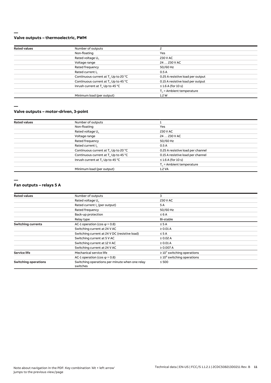## **— Valve outputs – thermoelectric, PWM**

| <b>Rated values</b>          | Number of outputs                                |                                   |
|------------------------------|--------------------------------------------------|-----------------------------------|
|                              | Non-floating                                     | Yes                               |
|                              | Rated voltage U <sub>n</sub>                     | 230 V AC                          |
|                              | Voltage range                                    | 24  230 V AC                      |
|                              | Rated frequency                                  | 50/60 Hz                          |
| Rated current I <sub>n</sub> |                                                  | 0.5A                              |
|                              | Continuous current at T. Up to 20 °C             | 0.25 A resistive load per output  |
|                              | Continuous current at T <sub>u</sub> Up to 45 °C | 0.15 A resistive load per output  |
|                              | Inrush current at T <sub>u</sub> Up to 45 °C     | $\leq$ 1.6 A (for 10 s)           |
|                              |                                                  | $T_{\rm u}$ = Ambient temperature |
|                              | Minimum load (per output)                        | 1.2W                              |
|                              |                                                  |                                   |

**—**

## **Valve outputs – motor-driven, 3-point**

| <b>Rated values</b> | Number of outputs                                |                                   |
|---------------------|--------------------------------------------------|-----------------------------------|
|                     | Non-floating                                     | Yes                               |
|                     | Rated voltage U <sub>n</sub>                     | 230 V AC                          |
|                     | Voltage range                                    | 24  230 V AC                      |
|                     | Rated frequency                                  | 50/60 Hz                          |
|                     | Rated current I <sub>n</sub>                     | 0.5A                              |
|                     | Continuous current at T <sub>u</sub> Up to 20 °C | 0.25 A resistive load per channel |
|                     | Continuous current at T <sub>u</sub> Up to 45 °C | 0.15 A resistive load per channel |
|                     | Inrush current at T <sub>u</sub> Up to 45 °C     | $\leq$ 1.6 A (for 10 s)           |
|                     |                                                  | $T_{\rm u}$ = Ambient temperature |
|                     | Minimum load (per output)                        | 1.2 VA                            |

**—**

#### **Fan outputs – relays 5 A**

| <b>Rated values</b>         | Number of outputs                                          | 3                                |
|-----------------------------|------------------------------------------------------------|----------------------------------|
|                             | Rated voltage U.                                           | 230 V AC                         |
|                             | Rated current I <sub>n</sub> (per output)                  | 5A                               |
|                             | Rated frequency                                            | 50/60 Hz                         |
|                             | Back-up protection                                         | $\leq 6A$                        |
|                             | Relay type                                                 | Bi-stable                        |
| <b>Switching currents</b>   | AC-1 operation (cos $\varphi$ = 0.8)                       | $\leq$ 5 A                       |
|                             | Switching current at 24 V AC                               | $\geq$ 0.01 A                    |
|                             | Switching current at 24 V DC (resistive load)              | $\leq$ 5 A                       |
|                             | Switching current at 5 V AC                                | $\geq$ 0.02 A                    |
|                             | Switching current at 12 V AC                               | $\geq 0.01$ A                    |
|                             | Switching current at 24 V AC                               | ≥ 0.007 A                        |
| <b>Service life</b>         | Mechanical service life                                    | $\geq 10^7$ switching operations |
|                             | AC-1 operation (cos $\varphi$ = 0.8)                       | $\geq 10^5$ switching operations |
| <b>Switching operations</b> | Switching operations per minute when one relay<br>switches | $\leq 500$                       |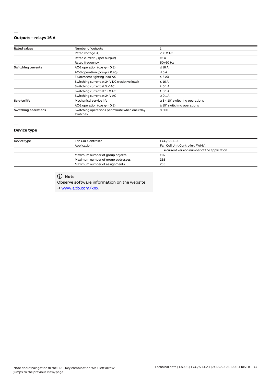## **— Outputs – relays 16 A**

| <b>Rated values</b>         | Number of outputs                                          |                                                 |  |
|-----------------------------|------------------------------------------------------------|-------------------------------------------------|--|
|                             | Rated voltage U <sub>n</sub>                               | 230 V AC                                        |  |
|                             | Rated current I <sub>n</sub> (per output)                  | 16 A                                            |  |
|                             | Rated frequency                                            | 50/60 Hz                                        |  |
| <b>Switching currents</b>   | AC-1 operation (cos $\varphi$ = 0.8)                       | $\leq 16$ A                                     |  |
|                             | AC-3 operation (cos $\varphi$ = 0.45)                      | $\leq 6A$                                       |  |
|                             | Fluorescent lighting load AX                               | $\leq 6$ AX                                     |  |
|                             | Switching current at 24 V DC (resistive load)              | $\leq 16$ A                                     |  |
|                             | Switching current at 5 V AC                                | $\geq 0.1$ A                                    |  |
|                             | Switching current at 12 V AC                               | $\geq 0.1$ A                                    |  |
|                             | Switching current at 24 V AC                               | $\geq 0.1$ A                                    |  |
| <b>Service life</b>         | Mechanical service life                                    | $\geq$ 3 × 10 <sup>6</sup> switching operations |  |
|                             | AC-1 operation (cos $\varphi$ = 0.8)                       | $\geq 10^5$ switching operations                |  |
| <b>Switching operations</b> | Switching operations per minute when one relay<br>switches | $\leq 500$                                      |  |

# **—**

# **Device type**

| Device type                   | Fan Coil Controller               | FCC/S 1.1.2.1                                        |  |
|-------------------------------|-----------------------------------|------------------------------------------------------|--|
|                               | Application                       | Fan Coil Unit Controller, PWM/                       |  |
|                               |                                   | $\ldots$ = current version number of the application |  |
|                               | Maximum number of group objects   | 116                                                  |  |
|                               | Maximum number of group addresses | 255                                                  |  |
| Maximum number of assignments |                                   | 255                                                  |  |

# **Note**

Observe software information on the website → www.abb.com/knx.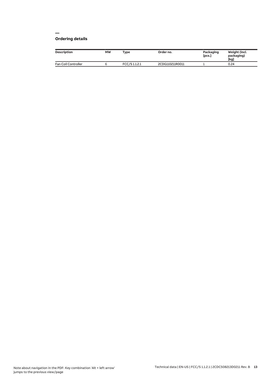## **— Ordering details**

| <b>Description</b>  | <b>MW</b> | Type         | Order no.       | Packaging<br>[pcs.] | Weight (incl.<br>packaging)<br>[kg] |
|---------------------|-----------|--------------|-----------------|---------------------|-------------------------------------|
| Fan Coil Controller |           | FCC/S1.1.2.1 | 2CDG110211R0011 |                     | 0.24                                |